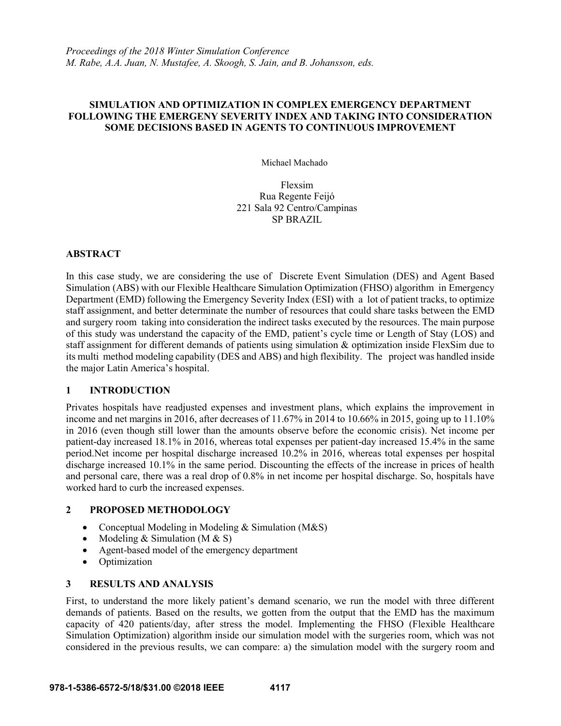# **SIMULATION AND OPTIMIZATION IN COMPLEX EMERGENCY DEPARTMENT FOLLOWING THE EMERGENY SEVERITY INDEX AND TAKING INTO CONSIDERATION SOME DECISIONS BASED IN AGENTS TO CONTINUOUS IMPROVEMENT**

Michael Machado

Flexsim Rua Regente Feijó 221 Sala 92 Centro/Campinas SP BRAZIL

### **ABSTRACT**

In this case study, we are considering the use of Discrete Event Simulation (DES) and Agent Based Simulation (ABS) with our Flexible Healthcare Simulation Optimization (FHSO) algorithm in Emergency Department (EMD) following the Emergency Severity Index (ESI) with a lot of patient tracks, to optimize staff assignment, and better determinate the number of resources that could share tasks between the EMD and surgery room taking into consideration the indirect tasks executed by the resources. The main purpose of this study was understand the capacity of the EMD, patient's cycle time or Length of Stay (LOS) and staff assignment for different demands of patients using simulation & optimization inside FlexSim due to its multi method modeling capability (DES and ABS) and high flexibility. The project was handled inside the major Latin America's hospital.

# **1 INTRODUCTION**

Privates hospitals have readjusted expenses and investment plans, which explains the improvement in income and net margins in 2016, after decreases of 11.67% in 2014 to 10.66% in 2015, going up to 11.10% in 2016 (even though still lower than the amounts observe before the economic crisis). Net income per patient-day increased 18.1% in 2016, whereas total expenses per patient-day increased 15.4% in the same period.Net income per hospital discharge increased 10.2% in 2016, whereas total expenses per hospital discharge increased 10.1% in the same period. Discounting the effects of the increase in prices of health and personal care, there was a real drop of 0.8% in net income per hospital discharge. So, hospitals have worked hard to curb the increased expenses.

# **2 PROPOSED METHODOLOGY**

- Conceptual Modeling in Modeling & Simulation (M&S)
- Modeling & Simulation (M  $&$  S)
- Agent-based model of the emergency department
- Optimization

#### **3 RESULTS AND ANALYSIS**

First, to understand the more likely patient's demand scenario, we run the model with three different demands of patients. Based on the results, we gotten from the output that the EMD has the maximum capacity of 420 patients/day, after stress the model. Implementing the FHSO (Flexible Healthcare Simulation Optimization) algorithm inside our simulation model with the surgeries room, which was not considered in the previous results, we can compare: a) the simulation model with the surgery room and